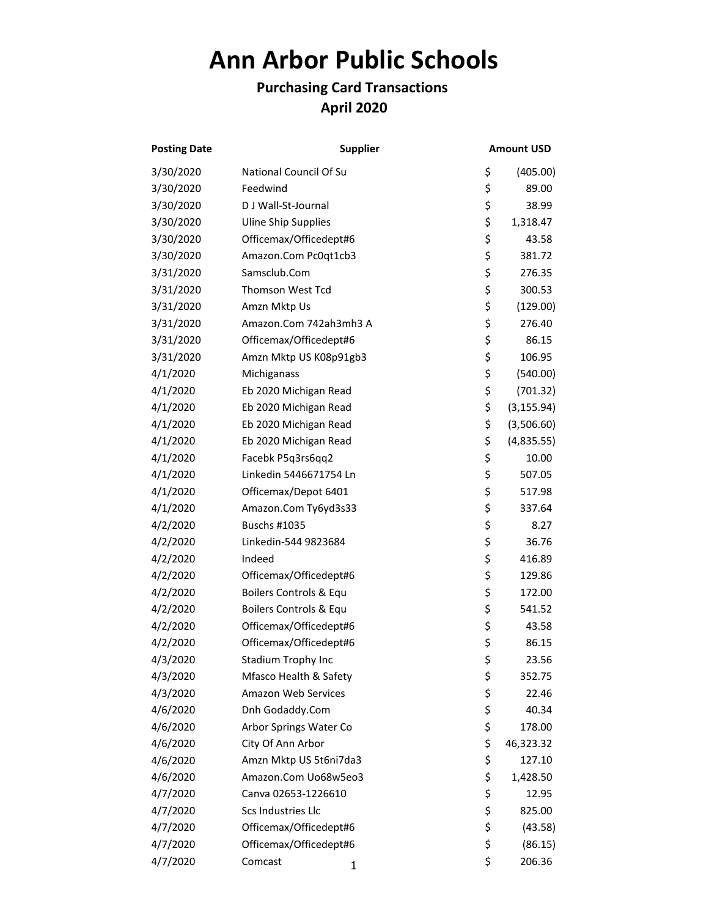## **Ann Arbor Public Schools**

## **Purchasing Card Transactions April 2020**

| <b>Posting Date</b> | <b>Supplier</b>            | <b>Amount USD</b> |
|---------------------|----------------------------|-------------------|
| 3/30/2020           | National Council Of Su     | \$<br>(405.00)    |
| 3/30/2020           | Feedwind                   | \$<br>89.00       |
| 3/30/2020           | D J Wall-St-Journal        | \$<br>38.99       |
| 3/30/2020           | <b>Uline Ship Supplies</b> | \$<br>1,318.47    |
| 3/30/2020           | Officemax/Officedept#6     | \$<br>43.58       |
| 3/30/2020           | Amazon.Com Pc0qt1cb3       | \$<br>381.72      |
| 3/31/2020           | Samsclub.Com               | \$<br>276.35      |
| 3/31/2020           | <b>Thomson West Tcd</b>    | \$<br>300.53      |
| 3/31/2020           | Amzn Mktp Us               | \$<br>(129.00)    |
| 3/31/2020           | Amazon.Com 742ah3mh3 A     | \$<br>276.40      |
| 3/31/2020           | Officemax/Officedept#6     | \$<br>86.15       |
| 3/31/2020           | Amzn Mktp US K08p91gb3     | \$<br>106.95      |
| 4/1/2020            | Michiganass                | \$<br>(540.00)    |
| 4/1/2020            | Eb 2020 Michigan Read      | \$<br>(701.32)    |
| 4/1/2020            | Eb 2020 Michigan Read      | \$<br>(3, 155.94) |
| 4/1/2020            | Eb 2020 Michigan Read      | \$<br>(3,506.60)  |
| 4/1/2020            | Eb 2020 Michigan Read      | \$<br>(4,835.55)  |
| 4/1/2020            | Facebk P5q3rs6qq2          | \$<br>10.00       |
| 4/1/2020            | Linkedin 5446671754 Ln     | \$<br>507.05      |
| 4/1/2020            | Officemax/Depot 6401       | \$<br>517.98      |
| 4/1/2020            | Amazon.Com Ty6yd3s33       | \$<br>337.64      |
| 4/2/2020            | Buschs #1035               | \$<br>8.27        |
| 4/2/2020            | Linkedin-544 9823684       | \$<br>36.76       |
| 4/2/2020            | Indeed                     | \$<br>416.89      |
| 4/2/2020            | Officemax/Officedept#6     | \$<br>129.86      |
| 4/2/2020            | Boilers Controls & Equ     | \$<br>172.00      |
| 4/2/2020            | Boilers Controls & Equ     | \$<br>541.52      |
| 4/2/2020            | Officemax/Officedept#6     | \$<br>43.58       |
| 4/2/2020            | Officemax/Officedept#6     | \$<br>86.15       |
| 4/3/2020            | Stadium Trophy Inc         | \$<br>23.56       |
| 4/3/2020            | Mfasco Health & Safety     | \$<br>352.75      |
| 4/3/2020            | Amazon Web Services        | \$<br>22.46       |
| 4/6/2020            | Dnh Godaddy.Com            | \$<br>40.34       |
| 4/6/2020            | Arbor Springs Water Co     | \$<br>178.00      |
| 4/6/2020            | City Of Ann Arbor          | \$<br>46,323.32   |
| 4/6/2020            | Amzn Mktp US 5t6ni7da3     | \$<br>127.10      |
| 4/6/2020            | Amazon.Com Uo68w5eo3       | \$<br>1,428.50    |
| 4/7/2020            | Canva 02653-1226610        | \$<br>12.95       |
| 4/7/2020            | Scs Industries Llc         | \$<br>825.00      |
| 4/7/2020            | Officemax/Officedept#6     | \$<br>(43.58)     |
| 4/7/2020            | Officemax/Officedept#6     | \$<br>(86.15)     |
| 4/7/2020            | Comcast<br>1               | \$<br>206.36      |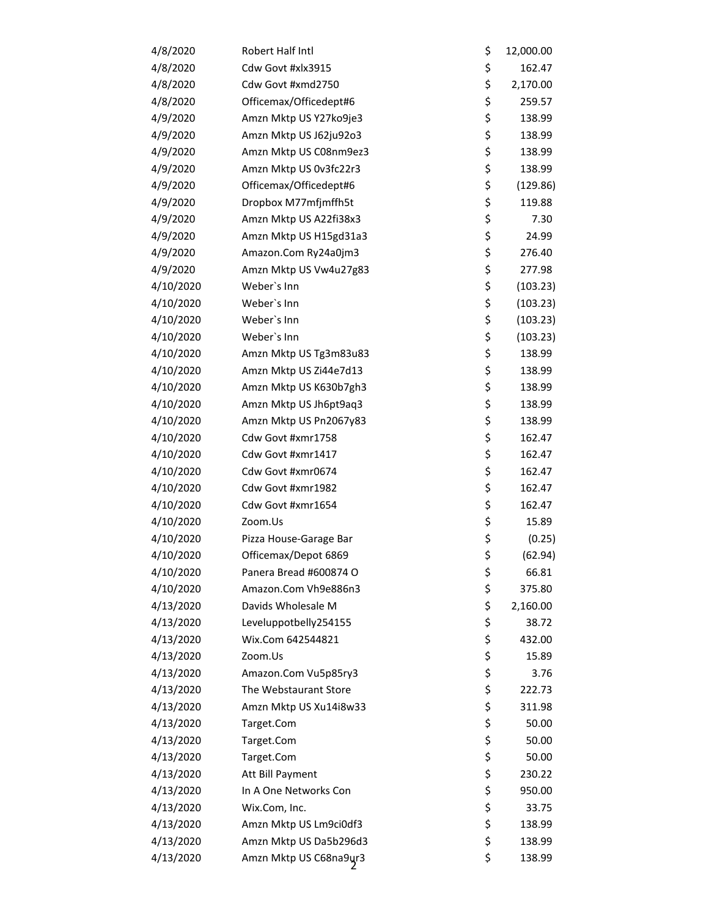| 4/8/2020  | Robert Half Intl       | \$<br>12,000.00 |
|-----------|------------------------|-----------------|
| 4/8/2020  | Cdw Govt #xlx3915      | \$<br>162.47    |
| 4/8/2020  | Cdw Govt #xmd2750      | \$<br>2,170.00  |
| 4/8/2020  | Officemax/Officedept#6 | \$<br>259.57    |
| 4/9/2020  | Amzn Mktp US Y27ko9je3 | \$<br>138.99    |
| 4/9/2020  | Amzn Mktp US J62ju92o3 | \$<br>138.99    |
| 4/9/2020  | Amzn Mktp US C08nm9ez3 | \$<br>138.99    |
| 4/9/2020  | Amzn Mktp US 0v3fc22r3 | \$<br>138.99    |
| 4/9/2020  | Officemax/Officedept#6 | \$<br>(129.86)  |
| 4/9/2020  | Dropbox M77mfjmffh5t   | \$<br>119.88    |
| 4/9/2020  | Amzn Mktp US A22fi38x3 | \$<br>7.30      |
| 4/9/2020  | Amzn Mktp US H15gd31a3 | \$<br>24.99     |
| 4/9/2020  | Amazon.Com Ry24a0jm3   | \$<br>276.40    |
| 4/9/2020  | Amzn Mktp US Vw4u27g83 | \$<br>277.98    |
| 4/10/2020 | Weber's Inn            | \$<br>(103.23)  |
| 4/10/2020 | Weber's Inn            | \$<br>(103.23)  |
| 4/10/2020 | Weber's Inn            | \$<br>(103.23)  |
| 4/10/2020 | Weber's Inn            | \$<br>(103.23)  |
| 4/10/2020 | Amzn Mktp US Tg3m83u83 | \$<br>138.99    |
| 4/10/2020 | Amzn Mktp US Zi44e7d13 | \$<br>138.99    |
| 4/10/2020 | Amzn Mktp US K630b7gh3 | \$<br>138.99    |
| 4/10/2020 | Amzn Mktp US Jh6pt9aq3 | \$<br>138.99    |
| 4/10/2020 | Amzn Mktp US Pn2067y83 | \$<br>138.99    |
| 4/10/2020 | Cdw Govt #xmr1758      | \$<br>162.47    |
| 4/10/2020 | Cdw Govt #xmr1417      | \$<br>162.47    |
| 4/10/2020 | Cdw Govt #xmr0674      | \$<br>162.47    |
| 4/10/2020 | Cdw Govt #xmr1982      | \$<br>162.47    |
| 4/10/2020 | Cdw Govt #xmr1654      | \$<br>162.47    |
| 4/10/2020 | Zoom.Us                | \$<br>15.89     |
| 4/10/2020 | Pizza House-Garage Bar | \$<br>(0.25)    |
| 4/10/2020 | Officemax/Depot 6869   | \$<br>(62.94)   |
| 4/10/2020 | Panera Bread #600874 O | \$<br>66.81     |
| 4/10/2020 | Amazon.Com Vh9e886n3   | \$<br>375.80    |
| 4/13/2020 | Davids Wholesale M     | \$<br>2,160.00  |
| 4/13/2020 | Leveluppotbelly254155  | \$<br>38.72     |
| 4/13/2020 | Wix.Com 642544821      | \$<br>432.00    |
| 4/13/2020 | Zoom.Us                | \$<br>15.89     |
| 4/13/2020 | Amazon.Com Vu5p85ry3   | \$<br>3.76      |
| 4/13/2020 | The Webstaurant Store  | \$<br>222.73    |
| 4/13/2020 | Amzn Mktp US Xu14i8w33 | \$<br>311.98    |
| 4/13/2020 | Target.Com             | \$<br>50.00     |
| 4/13/2020 | Target.Com             | \$<br>50.00     |
| 4/13/2020 | Target.Com             | \$<br>50.00     |
| 4/13/2020 | Att Bill Payment       | \$<br>230.22    |
| 4/13/2020 | In A One Networks Con  | \$<br>950.00    |
| 4/13/2020 | Wix.Com, Inc.          | \$<br>33.75     |
| 4/13/2020 | Amzn Mktp US Lm9ci0df3 | \$<br>138.99    |
| 4/13/2020 | Amzn Mktp US Da5b296d3 | \$<br>138.99    |
| 4/13/2020 | Amzn Mktp US C68na9ur3 | \$<br>138.99    |
|           |                        |                 |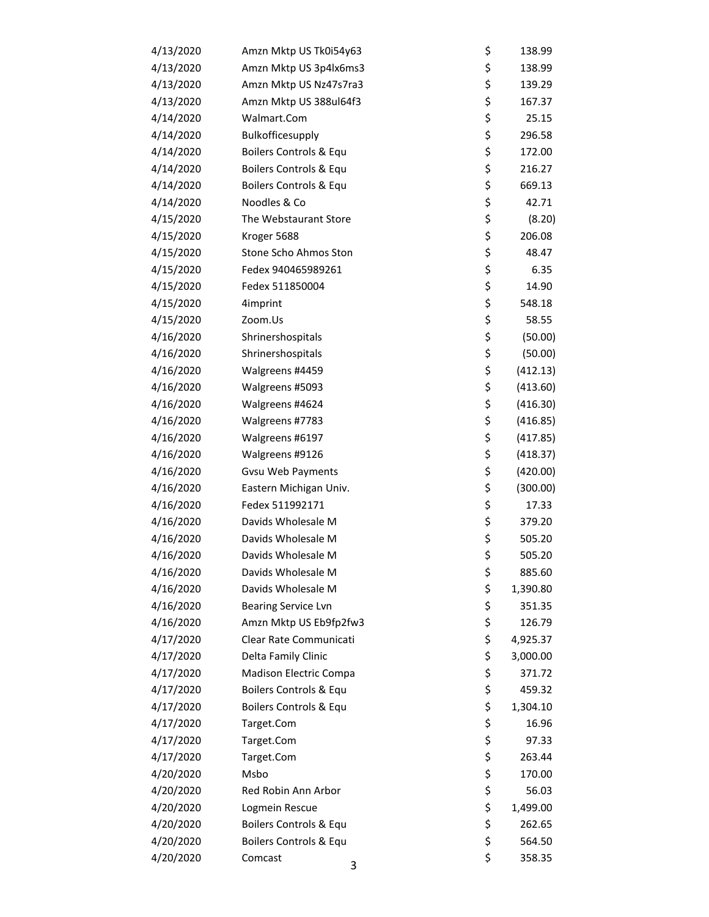| 4/13/2020 | Amzn Mktp US Tk0i54y63     | \$<br>138.99   |
|-----------|----------------------------|----------------|
| 4/13/2020 | Amzn Mktp US 3p4lx6ms3     | \$<br>138.99   |
| 4/13/2020 | Amzn Mktp US Nz47s7ra3     | \$<br>139.29   |
| 4/13/2020 | Amzn Mktp US 388ul64f3     | \$<br>167.37   |
| 4/14/2020 | Walmart.Com                | \$<br>25.15    |
| 4/14/2020 | Bulkofficesupply           | \$<br>296.58   |
| 4/14/2020 | Boilers Controls & Equ     | \$<br>172.00   |
| 4/14/2020 | Boilers Controls & Equ     | \$<br>216.27   |
| 4/14/2020 | Boilers Controls & Equ     | \$<br>669.13   |
| 4/14/2020 | Noodles & Co               | \$<br>42.71    |
| 4/15/2020 | The Webstaurant Store      | \$<br>(8.20)   |
| 4/15/2020 | Kroger 5688                | \$<br>206.08   |
| 4/15/2020 | Stone Scho Ahmos Ston      | \$<br>48.47    |
| 4/15/2020 | Fedex 940465989261         | \$<br>6.35     |
| 4/15/2020 | Fedex 511850004            | \$<br>14.90    |
| 4/15/2020 | 4imprint                   | \$<br>548.18   |
| 4/15/2020 | Zoom.Us                    | \$<br>58.55    |
| 4/16/2020 | Shrinershospitals          | \$<br>(50.00)  |
| 4/16/2020 | Shrinershospitals          | \$<br>(50.00)  |
| 4/16/2020 | Walgreens #4459            | \$<br>(412.13) |
| 4/16/2020 | Walgreens #5093            | \$<br>(413.60) |
| 4/16/2020 | Walgreens #4624            | \$<br>(416.30) |
| 4/16/2020 | Walgreens #7783            | \$<br>(416.85) |
| 4/16/2020 | Walgreens #6197            | \$<br>(417.85) |
| 4/16/2020 | Walgreens #9126            | \$<br>(418.37) |
| 4/16/2020 | <b>Gvsu Web Payments</b>   | \$<br>(420.00) |
| 4/16/2020 | Eastern Michigan Univ.     | \$<br>(300.00) |
| 4/16/2020 | Fedex 511992171            | \$<br>17.33    |
| 4/16/2020 | Davids Wholesale M         | \$<br>379.20   |
| 4/16/2020 | Davids Wholesale M         | \$<br>505.20   |
| 4/16/2020 | Davids Wholesale M         | \$<br>505.20   |
| 4/16/2020 | Davids Wholesale M         | \$<br>885.60   |
| 4/16/2020 | Davids Wholesale M         | \$<br>1,390.80 |
| 4/16/2020 | <b>Bearing Service Lvn</b> | \$<br>351.35   |
| 4/16/2020 | Amzn Mktp US Eb9fp2fw3     | \$<br>126.79   |
| 4/17/2020 | Clear Rate Communicati     | \$<br>4,925.37 |
| 4/17/2020 | Delta Family Clinic        | \$<br>3,000.00 |
| 4/17/2020 | Madison Electric Compa     | \$<br>371.72   |
| 4/17/2020 | Boilers Controls & Equ     | \$<br>459.32   |
| 4/17/2020 | Boilers Controls & Equ     | \$<br>1,304.10 |
| 4/17/2020 | Target.Com                 | \$<br>16.96    |
| 4/17/2020 | Target.Com                 | \$<br>97.33    |
| 4/17/2020 | Target.Com                 | \$<br>263.44   |
| 4/20/2020 | Msbo                       | \$<br>170.00   |
| 4/20/2020 | Red Robin Ann Arbor        | \$<br>56.03    |
| 4/20/2020 | Logmein Rescue             | \$<br>1,499.00 |
| 4/20/2020 | Boilers Controls & Equ     | \$<br>262.65   |
| 4/20/2020 | Boilers Controls & Equ     | \$<br>564.50   |
| 4/20/2020 | Comcast<br>3               | \$<br>358.35   |
|           |                            |                |